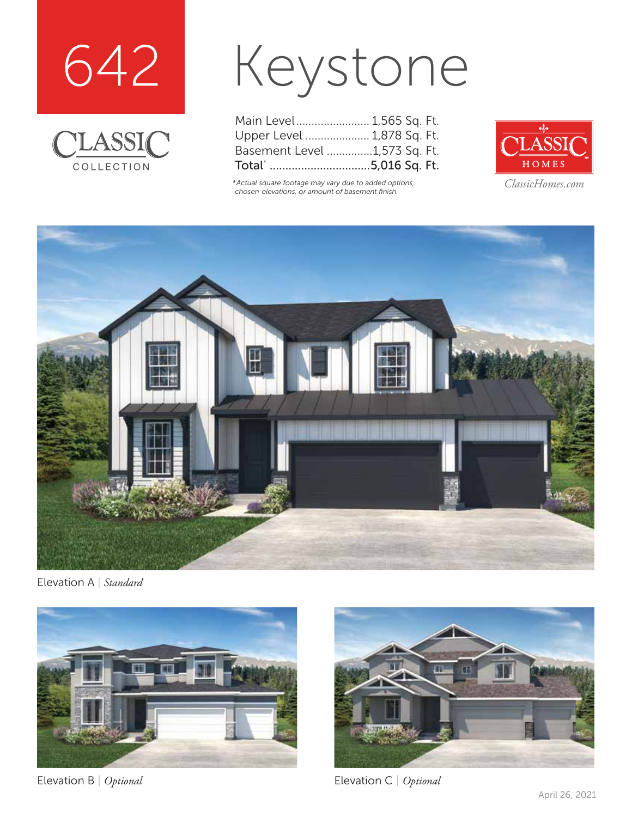



# Keystone

| Main Level 1,565 Sq. Ft.                            |  |  |
|-----------------------------------------------------|--|--|
| Upper Level  1,878 Sq. Ft.                          |  |  |
| Basement Level 1,573 Sq. Ft.                        |  |  |
| Total* 5,016                                Sq. Ft. |  |  |

*\*Actual square footage may vary due to added options, chosen elevations, or amount of basement finish.*



*ClassicHomes.com*



Elevation A | *Standard*



Elevation B | *Optional* Elevation C | *Optional*

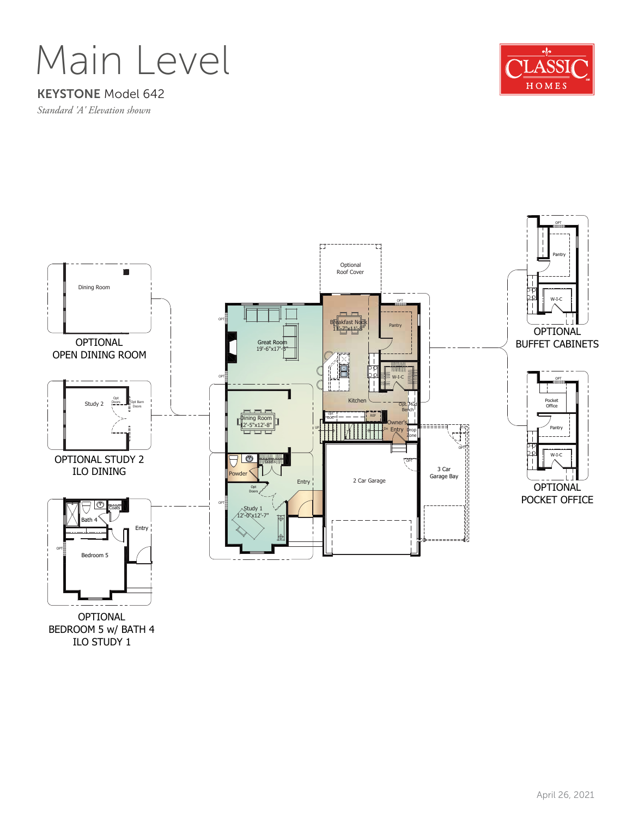Main Level

#### KEYSTONE Model 642

*Standard 'A' Elevation shown*





OPTIONAL BEDROOM 5 w/ BATH 4 ILO STUDY 1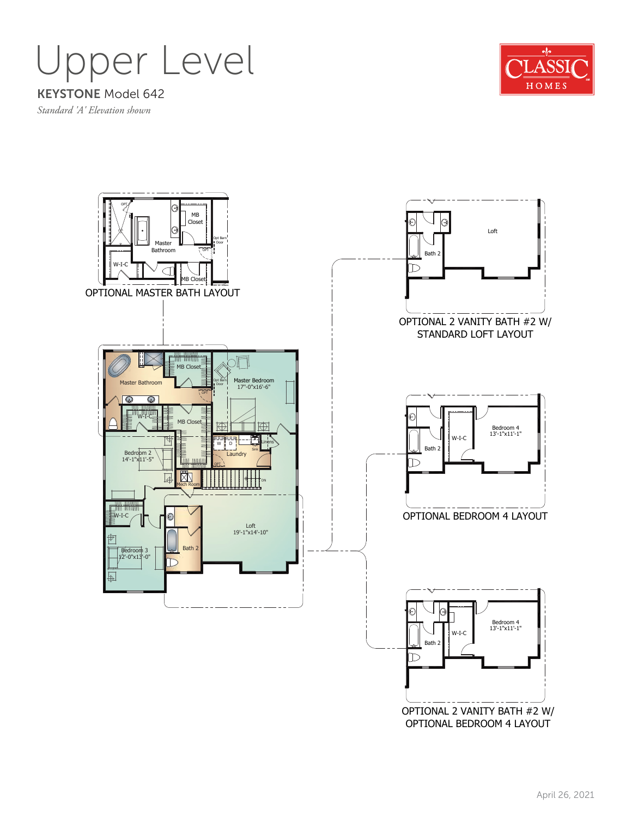## Upper Level



KEYSTONE Model 642 *Standard 'A' Elevation shown*